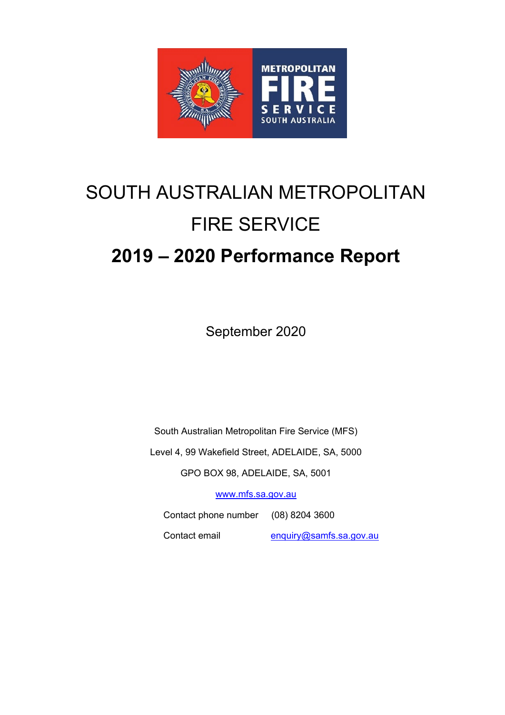

# SOUTH AUSTRALIAN METROPOLITAN FIRE SERVICE **2019 – 2020 Performance Report**

September 2020

South Australian Metropolitan Fire Service (MFS)

Level 4, 99 Wakefield Street, ADELAIDE, SA, 5000

GPO BOX 98, ADELAIDE, SA, 5001

[www.mfs.sa.gov.au](http://www.mfs.sa.gov.au/)

Contact phone number (08) 8204 3600

Contact email [enquiry@samfs.sa.gov.au](mailto:enquiry@samfs.sa.gov.au)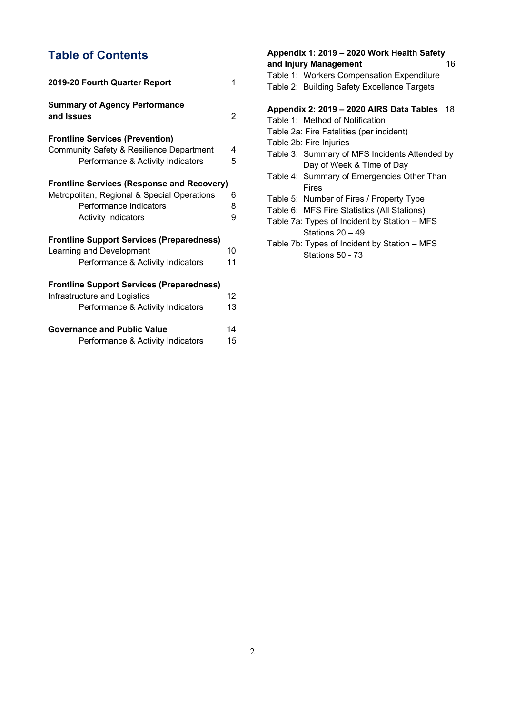### **Table of Contents**

| 2019-20 Fourth Quarter Report                                                                                                                            | 1           |
|----------------------------------------------------------------------------------------------------------------------------------------------------------|-------------|
| <b>Summary of Agency Performance</b><br>and Issues                                                                                                       | 2           |
| <b>Frontline Services (Prevention)</b><br><b>Community Safety &amp; Resilience Department</b><br>Performance & Activity Indicators                       | 4<br>5      |
| <b>Frontline Services (Response and Recovery)</b><br>Metropolitan, Regional & Special Operations<br>Performance Indicators<br><b>Activity Indicators</b> | 6<br>8<br>9 |
| <b>Frontline Support Services (Preparedness)</b><br>Learning and Development<br>Performance & Activity Indicators                                        | 10<br>11    |
| <b>Frontline Support Services (Preparedness)</b><br>Infrastructure and Logistics<br>Performance & Activity Indicators                                    | 12<br>13    |
| <b>Governance and Public Value</b><br>Performance & Activity Indicators                                                                                  | 14<br>15    |

| Appendix 1: 2019 - 2020 Work Health Safety<br>and Injury Management<br>Table 1: Workers Compensation Expenditure<br>Table 2: Building Safety Excellence Targets | 16  |
|-----------------------------------------------------------------------------------------------------------------------------------------------------------------|-----|
| Appendix 2: 2019 - 2020 AIRS Data Tables                                                                                                                        | -18 |
| Table 1: Method of Notification                                                                                                                                 |     |
| Table 2a: Fire Fatalities (per incident)                                                                                                                        |     |
| Table 2b: Fire Injuries                                                                                                                                         |     |
| Table 3: Summary of MFS Incidents Attended by                                                                                                                   |     |
| Day of Week & Time of Day                                                                                                                                       |     |
| Table 4: Summary of Emergencies Other Than<br>Fires                                                                                                             |     |
| Table 5: Number of Fires / Property Type                                                                                                                        |     |
| Table 6: MFS Fire Statistics (All Stations)                                                                                                                     |     |
| Table 7a: Types of Incident by Station - MFS                                                                                                                    |     |
| Stations $20 - 49$                                                                                                                                              |     |
| Table 7b: Types of Incident by Station – MFS<br><b>Stations 50 - 73</b>                                                                                         |     |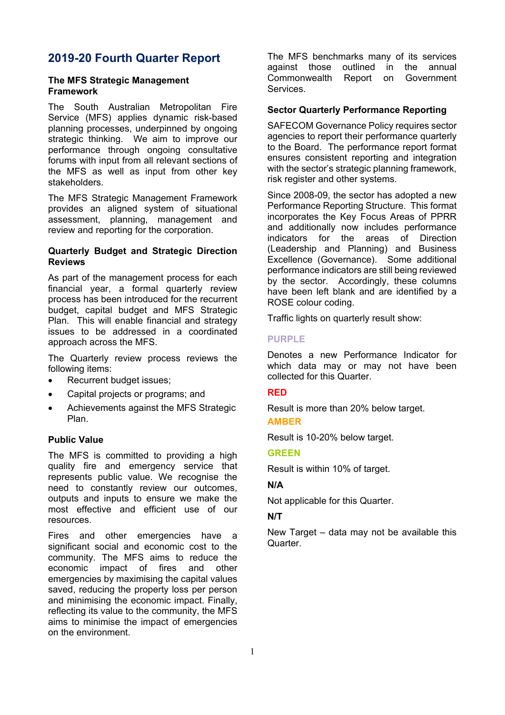### **2019-20 Fourth Quarter Report**

#### **The MFS Strategic Management Framework**

The South Australian Metropolitan Fire Service (MFS) applies dynamic risk-based planning processes, underpinned by ongoing strategic thinking. We aim to improve our performance through ongoing consultative forums with input from all relevant sections of the MFS as well as input from other key stakeholders.

The MFS Strategic Management Framework provides an aligned system of situational assessment, planning, management and review and reporting for the corporation.

#### **Quarterly Budget and Strategic Direction Reviews**

As part of the management process for each financial year, a formal quarterly review process has been introduced for the recurrent budget, capital budget and MFS Strategic Plan. This will enable financial and strategy issues to be addressed in a coordinated approach across the MFS.

The Quarterly review process reviews the following items:

- Recurrent budget issues;
- Capital projects or programs; and
- Achievements against the MFS Strategic Plan.

#### **Public Value**

The MFS is committed to providing a high quality fire and emergency service that represents public value. We recognise the need to constantly review our outcomes, outputs and inputs to ensure we make the most effective and efficient use of our resources.

Fires and other emergencies have a significant social and economic cost to the community. The MFS aims to reduce the economic impact of fires and other emergencies by maximising the capital values saved, reducing the property loss per person and minimising the economic impact. Finally, reflecting its value to the community, the MFS aims to minimise the impact of emergencies on the environment.

The MFS benchmarks many of its services against those outlined in the annual Commonwealth Report on Government Services.

#### **Sector Quarterly Performance Reporting**

SAFECOM Governance Policy requires sector agencies to report their performance quarterly to the Board. The performance report format ensures consistent reporting and integration with the sector's strategic planning framework, risk register and other systems.

Since 2008-09, the sector has adopted a new Performance Reporting Structure. This format incorporates the Key Focus Areas of PPRR and additionally now includes performance indicators for the areas of Direction (Leadership and Planning) and Business Excellence (Governance). Some additional performance indicators are still being reviewed by the sector. Accordingly, these columns have been left blank and are identified by a ROSE colour coding.

Traffic lights on quarterly result show:

#### **PURPLE**

Denotes a new Performance Indicator for which data may or may not have been collected for this Quarter.

#### **RED**

Result is more than 20% below target.

#### **AMBER**

Result is 10-20% below target.

#### **GREEN**

Result is within 10% of target.

#### **N/A**

Not applicable for this Quarter.

#### **N/T**

New Target – data may not be available this Quarter.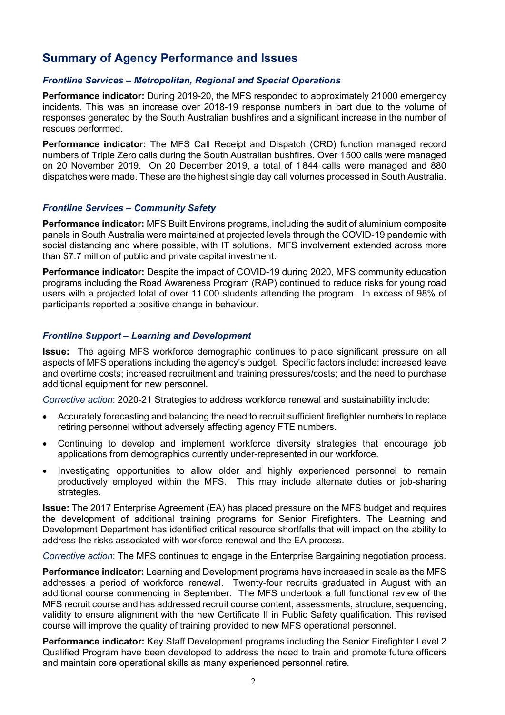### **Summary of Agency Performance and Issues**

#### *Frontline Services – Metropolitan, Regional and Special Operations*

**Performance indicator:** During 2019-20, the MFS responded to approximately 21000 emergency incidents. This was an increase over 2018-19 response numbers in part due to the volume of responses generated by the South Australian bushfires and a significant increase in the number of rescues performed.

**Performance indicator:** The MFS Call Receipt and Dispatch (CRD) function managed record numbers of Triple Zero calls during the South Australian bushfires. Over 1500 calls were managed on 20 November 2019. On 20 December 2019, a total of 1 844 calls were managed and 880 dispatches were made. These are the highest single day call volumes processed in South Australia.

#### *Frontline Services – Community Safety*

**Performance indicator:** MFS Built Environs programs, including the audit of aluminium composite panels in South Australia were maintained at projected levels through the COVID-19 pandemic with social distancing and where possible, with IT solutions. MFS involvement extended across more than \$7.7 million of public and private capital investment.

**Performance indicator:** Despite the impact of COVID-19 during 2020, MFS community education programs including the Road Awareness Program (RAP) continued to reduce risks for young road users with a projected total of over 11 000 students attending the program. In excess of 98% of participants reported a positive change in behaviour.

#### *Frontline Support – Learning and Development*

**Issue:** The ageing MFS workforce demographic continues to place significant pressure on all aspects of MFS operations including the agency's budget. Specific factors include: increased leave and overtime costs; increased recruitment and training pressures/costs; and the need to purchase additional equipment for new personnel.

*Corrective action*: 2020-21 Strategies to address workforce renewal and sustainability include:

- Accurately forecasting and balancing the need to recruit sufficient firefighter numbers to replace retiring personnel without adversely affecting agency FTE numbers.
- Continuing to develop and implement workforce diversity strategies that encourage job applications from demographics currently under-represented in our workforce.
- Investigating opportunities to allow older and highly experienced personnel to remain productively employed within the MFS. This may include alternate duties or job-sharing strategies.

**Issue:** The 2017 Enterprise Agreement (EA) has placed pressure on the MFS budget and requires the development of additional training programs for Senior Firefighters. The Learning and Development Department has identified critical resource shortfalls that will impact on the ability to address the risks associated with workforce renewal and the EA process.

*Corrective action*: The MFS continues to engage in the Enterprise Bargaining negotiation process.

**Performance indicator:** Learning and Development programs have increased in scale as the MFS addresses a period of workforce renewal. Twenty-four recruits graduated in August with an additional course commencing in September. The MFS undertook a full functional review of the MFS recruit course and has addressed recruit course content, assessments, structure, sequencing, validity to ensure alignment with the new Certificate II in Public Safety qualification. This revised course will improve the quality of training provided to new MFS operational personnel.

**Performance indicator:** Key Staff Development programs including the Senior Firefighter Level 2 Qualified Program have been developed to address the need to train and promote future officers and maintain core operational skills as many experienced personnel retire.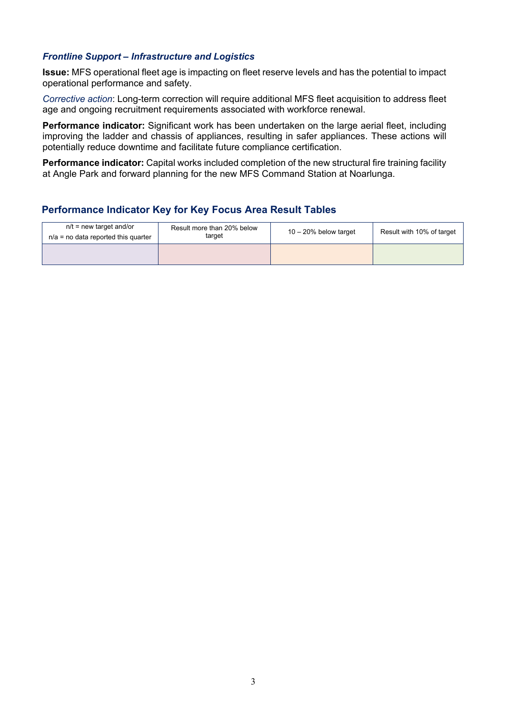#### *Frontline Support – Infrastructure and Logistics*

**Issue:** MFS operational fleet age is impacting on fleet reserve levels and has the potential to impact operational performance and safety.

*Corrective action*: Long-term correction will require additional MFS fleet acquisition to address fleet age and ongoing recruitment requirements associated with workforce renewal.

**Performance indicator:** Significant work has been undertaken on the large aerial fleet, including improving the ladder and chassis of appliances, resulting in safer appliances. These actions will potentially reduce downtime and facilitate future compliance certification.

**Performance indicator:** Capital works included completion of the new structural fire training facility at Angle Park and forward planning for the new MFS Command Station at Noarlunga.

#### **Performance Indicator Key for Key Focus Area Result Tables**

| $n/t$ = new target and/or<br>$n/a$ = no data reported this quarter | Result more than 20% below<br>target | $10 - 20%$ below target | Result with 10% of target |
|--------------------------------------------------------------------|--------------------------------------|-------------------------|---------------------------|
|                                                                    |                                      |                         |                           |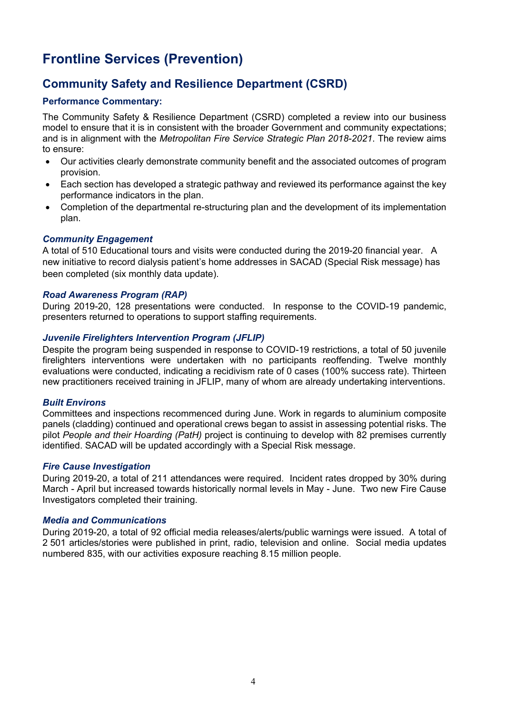## **Frontline Services (Prevention)**

### **Community Safety and Resilience Department (CSRD)**

#### **Performance Commentary:**

The Community Safety & Resilience Department (CSRD) completed a review into our business model to ensure that it is in consistent with the broader Government and community expectations; and is in alignment with the *Metropolitan Fire Service Strategic Plan 2018-2021*. The review aims to ensure:

- Our activities clearly demonstrate community benefit and the associated outcomes of program provision.
- Each section has developed a strategic pathway and reviewed its performance against the key performance indicators in the plan.
- Completion of the departmental re-structuring plan and the development of its implementation plan.

#### *Community Engagement*

A total of 510 Educational tours and visits were conducted during the 2019-20 financial year. A new initiative to record dialysis patient's home addresses in SACAD (Special Risk message) has been completed (six monthly data update).

#### *Road Awareness Program (RAP)*

During 2019-20, 128 presentations were conducted. In response to the COVID-19 pandemic, presenters returned to operations to support staffing requirements.

#### *Juvenile Firelighters Intervention Program (JFLIP)*

Despite the program being suspended in response to COVID-19 restrictions, a total of 50 juvenile firelighters interventions were undertaken with no participants reoffending. Twelve monthly evaluations were conducted, indicating a recidivism rate of 0 cases (100% success rate). Thirteen new practitioners received training in JFLIP, many of whom are already undertaking interventions.

#### *Built Environs*

Committees and inspections recommenced during June. Work in regards to aluminium composite panels (cladding) continued and operational crews began to assist in assessing potential risks. The pilot *People and their Hoarding (PatH)* project is continuing to develop with 82 premises currently identified. SACAD will be updated accordingly with a Special Risk message.

#### *Fire Cause Investigation*

During 2019-20, a total of 211 attendances were required. Incident rates dropped by 30% during March - April but increased towards historically normal levels in May - June. Two new Fire Cause Investigators completed their training.

#### *Media and Communications*

During 2019-20, a total of 92 official media releases/alerts/public warnings were issued. A total of 2 501 articles/stories were published in print, radio, television and online. Social media updates numbered 835, with our activities exposure reaching 8.15 million people.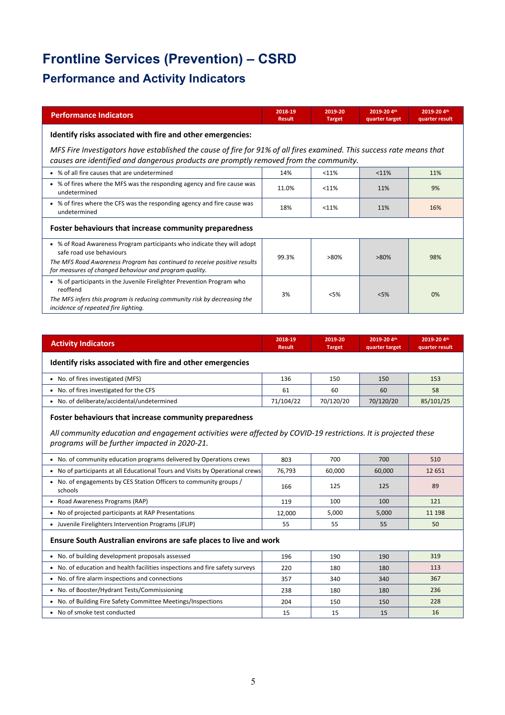# **Frontline Services (Prevention) – CSRD**

### **Performance and Activity Indicators**

| <b>Performance Indicators</b>                                                                                                                                                                                                             | 2018-19<br><b>Result</b> | 2019-20<br><b>Target</b> | 2019-20 4th<br>quarter target | 2019-20 4th<br>quarter result |  |  |  |  |  |
|-------------------------------------------------------------------------------------------------------------------------------------------------------------------------------------------------------------------------------------------|--------------------------|--------------------------|-------------------------------|-------------------------------|--|--|--|--|--|
| Identify risks associated with fire and other emergencies:                                                                                                                                                                                |                          |                          |                               |                               |  |  |  |  |  |
| MFS Fire Investigators have established the cause of fire for 91% of all fires examined. This success rate means that<br>causes are identified and dangerous products are promptly removed from the community.                            |                          |                          |                               |                               |  |  |  |  |  |
| • % of all fire causes that are undetermined                                                                                                                                                                                              | 14%                      | <11%                     | < 11%                         | 11%                           |  |  |  |  |  |
| • % of fires where the MFS was the responding agency and fire cause was<br>undetermined                                                                                                                                                   | 11.0%                    | < 11%                    | 11%                           | 9%                            |  |  |  |  |  |
| • % of fires where the CFS was the responding agency and fire cause was<br>undetermined                                                                                                                                                   | 18%                      | < 11%                    | 11%                           | 16%                           |  |  |  |  |  |
| Foster behaviours that increase community preparedness                                                                                                                                                                                    |                          |                          |                               |                               |  |  |  |  |  |
| • % of Road Awareness Program participants who indicate they will adopt<br>safe road use behaviours<br>The MFS Road Awareness Program has continued to receive positive results<br>for measures of changed behaviour and program quality. | 99.3%                    | $>80\%$                  | $>80\%$                       | 98%                           |  |  |  |  |  |
| • % of participants in the Juvenile Firelighter Prevention Program who<br>reoffend<br>The MFS infers this program is reducing community risk by decreasing the<br>incidence of repeated fire lighting.                                    | 3%                       | < 5%                     | < 5%                          | 0%                            |  |  |  |  |  |

| <b>Activity Indicators</b>                                | 2018-19<br><b>Result</b> | 2019-20<br><b>Target</b> | 2019-20 4th<br>quarter target | 2019-20 4th<br>quarter result |
|-----------------------------------------------------------|--------------------------|--------------------------|-------------------------------|-------------------------------|
| Identify risks associated with fire and other emergencies |                          |                          |                               |                               |
| • No. of fires investigated (MFS)                         | 136                      | 150                      | 150                           | 153                           |
| • No. of fires investigated for the CFS                   | 61                       | 60                       | 60                            | 58                            |
| • No. of deliberate/accidental/undetermined               | 71/104/22                | 70/120/20                | 70/120/20                     | 85/101/25                     |

#### **Foster behaviours that increase community preparedness**

*All community education and engagement activities were affected by COVID-19 restrictions. It is projected these programs will be further impacted in 2020-21.*

| • No. of community education programs delivered by Operations crews                      | 803    | 700    | 700    | 510    |
|------------------------------------------------------------------------------------------|--------|--------|--------|--------|
| • No of participants at all Educational Tours and Visits by Operational crews            | 76,793 | 60,000 | 60,000 | 12 651 |
| No. of engagements by CES Station Officers to community groups /<br>$\bullet$<br>schools | 166    | 125    | 125    | 89     |
| • Road Awareness Programs (RAP)                                                          | 119    | 100    | 100    | 121    |
| • No of projected participants at RAP Presentations                                      | 12,000 | 5,000  | 5,000  | 11 198 |
| • Juvenile Firelighters Intervention Programs (JFLIP)                                    | 55     | 55     | 55     | 50     |
| Ensure South Australian environs are safe places to live and work                        |        |        |        |        |
| • No. of building development proposals assessed                                         | 196    | 190    | 190    | 319    |
| • No. of education and health facilities inspections and fire safety surveys             | 220    | 180    | 180    | 113    |
| • No. of fire alarm inspections and connections                                          | 357    | 340    | 340    | 367    |
| • No. of Booster/Hydrant Tests/Commissioning                                             | 238    | 180    | 180    | 236    |
| • No. of Building Fire Safety Committee Meetings/Inspections                             | 204    | 150    | 150    | 228    |
| • No of smoke test conducted                                                             | 15     | 15     | 15     | 16     |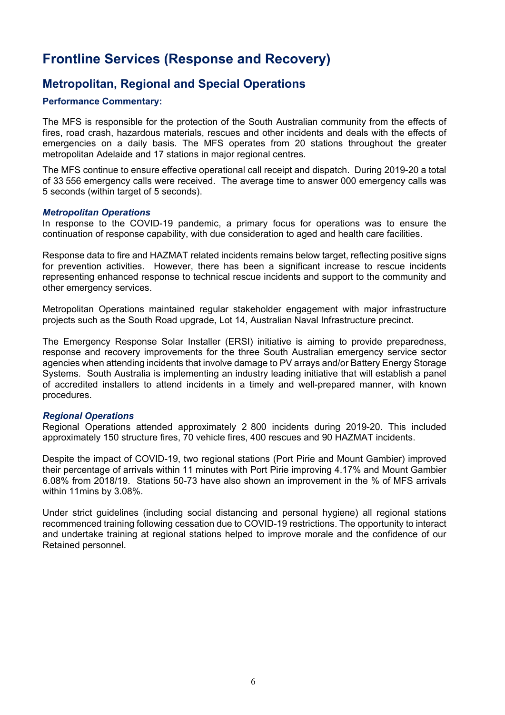### **Frontline Services (Response and Recovery)**

### **Metropolitan, Regional and Special Operations**

#### **Performance Commentary:**

The MFS is responsible for the protection of the South Australian community from the effects of fires, road crash, hazardous materials, rescues and other incidents and deals with the effects of emergencies on a daily basis. The MFS operates from 20 stations throughout the greater metropolitan Adelaide and 17 stations in major regional centres.

The MFS continue to ensure effective operational call receipt and dispatch. During 2019-20 a total of 33 556 emergency calls were received. The average time to answer 000 emergency calls was 5 seconds (within target of 5 seconds).

#### *Metropolitan Operations*

In response to the COVID-19 pandemic, a primary focus for operations was to ensure the continuation of response capability, with due consideration to aged and health care facilities.

Response data to fire and HAZMAT related incidents remains below target, reflecting positive signs for prevention activities. However, there has been a significant increase to rescue incidents representing enhanced response to technical rescue incidents and support to the community and other emergency services.

Metropolitan Operations maintained regular stakeholder engagement with major infrastructure projects such as the South Road upgrade, Lot 14, Australian Naval Infrastructure precinct.

The Emergency Response Solar Installer (ERSI) initiative is aiming to provide preparedness, response and recovery improvements for the three South Australian emergency service sector agencies when attending incidents that involve damage to PV arrays and/or Battery Energy Storage Systems. South Australia is implementing an industry leading initiative that will establish a panel of accredited installers to attend incidents in a timely and well-prepared manner, with known procedures.

#### *Regional Operations*

Regional Operations attended approximately 2 800 incidents during 2019-20. This included approximately 150 structure fires, 70 vehicle fires, 400 rescues and 90 HAZMAT incidents.

Despite the impact of COVID-19, two regional stations (Port Pirie and Mount Gambier) improved their percentage of arrivals within 11 minutes with Port Pirie improving 4.17% and Mount Gambier 6.08% from 2018/19. Stations 50-73 have also shown an improvement in the % of MFS arrivals within 11mins by 3.08%.

Under strict guidelines (including social distancing and personal hygiene) all regional stations recommenced training following cessation due to COVID-19 restrictions. The opportunity to interact and undertake training at regional stations helped to improve morale and the confidence of our Retained personnel.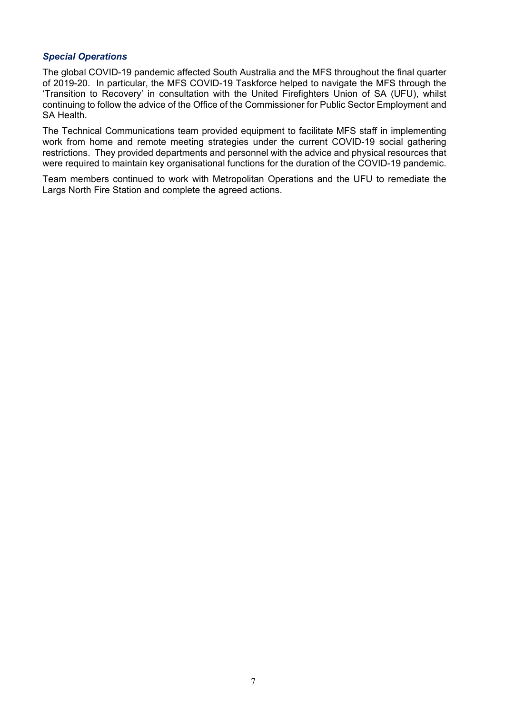#### *Special Operations*

The global COVID-19 pandemic affected South Australia and the MFS throughout the final quarter of 2019-20. In particular, the MFS COVID-19 Taskforce helped to navigate the MFS through the 'Transition to Recovery' in consultation with the United Firefighters Union of SA (UFU), whilst continuing to follow the advice of the Office of the Commissioner for Public Sector Employment and SA Health.

The Technical Communications team provided equipment to facilitate MFS staff in implementing work from home and remote meeting strategies under the current COVID-19 social gathering restrictions. They provided departments and personnel with the advice and physical resources that were required to maintain key organisational functions for the duration of the COVID-19 pandemic.

Team members continued to work with Metropolitan Operations and the UFU to remediate the Largs North Fire Station and complete the agreed actions.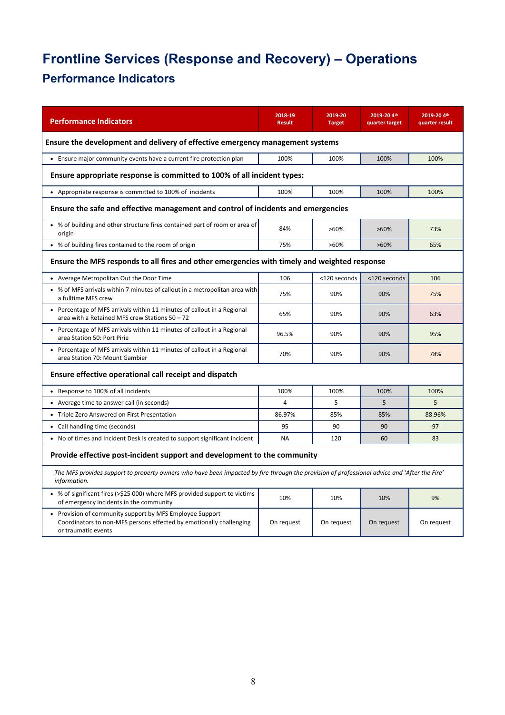# **Frontline Services (Response and Recovery) – Operations Performance Indicators**

| <b>Performance Indicators</b>                                                                                                                                | 2018-19<br><b>Result</b> | 2019-20<br><b>Target</b> | 2019-20 4th<br>quarter target | 2019-20 4th<br>quarter result |  |  |  |  |
|--------------------------------------------------------------------------------------------------------------------------------------------------------------|--------------------------|--------------------------|-------------------------------|-------------------------------|--|--|--|--|
| Ensure the development and delivery of effective emergency management systems                                                                                |                          |                          |                               |                               |  |  |  |  |
| • Ensure major community events have a current fire protection plan                                                                                          | 100%                     | 100%                     | 100%                          | 100%                          |  |  |  |  |
| Ensure appropriate response is committed to 100% of all incident types:                                                                                      |                          |                          |                               |                               |  |  |  |  |
| • Appropriate response is committed to 100% of incidents                                                                                                     | 100%                     | 100%                     | 100%                          | 100%                          |  |  |  |  |
| Ensure the safe and effective management and control of incidents and emergencies                                                                            |                          |                          |                               |                               |  |  |  |  |
| • % of building and other structure fires contained part of room or area of<br>origin                                                                        | 84%                      | $>60\%$                  | $>60\%$                       | 73%                           |  |  |  |  |
| • % of building fires contained to the room of origin                                                                                                        | 75%                      | $>60\%$                  | $>60\%$                       | 65%                           |  |  |  |  |
| Ensure the MFS responds to all fires and other emergencies with timely and weighted response                                                                 |                          |                          |                               |                               |  |  |  |  |
| • Average Metropolitan Out the Door Time                                                                                                                     | 106                      | <120 seconds             | <120 seconds                  | 106                           |  |  |  |  |
| • % of MFS arrivals within 7 minutes of callout in a metropolitan area with<br>a fulltime MFS crew                                                           | 75%                      | 90%                      | 90%                           | 75%                           |  |  |  |  |
| • Percentage of MFS arrivals within 11 minutes of callout in a Regional<br>area with a Retained MFS crew Stations 50 - 72                                    | 65%                      | 90%                      | 90%                           | 63%                           |  |  |  |  |
| • Percentage of MFS arrivals within 11 minutes of callout in a Regional<br>area Station 50: Port Pirie                                                       | 96.5%                    | 90%                      | 90%                           | 95%                           |  |  |  |  |
| • Percentage of MFS arrivals within 11 minutes of callout in a Regional<br>area Station 70: Mount Gambier                                                    | 70%                      | 90%                      | 90%                           | 78%                           |  |  |  |  |
| Ensure effective operational call receipt and dispatch                                                                                                       |                          |                          |                               |                               |  |  |  |  |
| • Response to 100% of all incidents                                                                                                                          | 100%                     | 100%                     | 100%                          | 100%                          |  |  |  |  |
| • Average time to answer call (in seconds)                                                                                                                   | 4                        | 5                        | 5                             | 5                             |  |  |  |  |
| • Triple Zero Answered on First Presentation                                                                                                                 | 86.97%                   | 85%                      | 85%                           | 88.96%                        |  |  |  |  |
| • Call handling time (seconds)                                                                                                                               | 95                       | 90                       | 90                            | 97                            |  |  |  |  |
| • No of times and Incident Desk is created to support significant incident                                                                                   | NA                       | 120                      | 60                            | 83                            |  |  |  |  |
| Provide effective post-incident support and development to the community                                                                                     |                          |                          |                               |                               |  |  |  |  |
| The MFS provides support to property owners who have been impacted by fire through the provision of professional advice and 'After the Fire'<br>information. |                          |                          |                               |                               |  |  |  |  |
| • % of significant fires (>\$25 000) where MFS provided support to victims<br>of emergency incidents in the community                                        | 10%                      | 10%                      | 10%                           | 9%                            |  |  |  |  |
| • Provision of community support by MFS Employee Support<br>Coordinators to non-MFS persons effected by emotionally challenging<br>or traumatic events       | On request               | On request               | On request                    | On request                    |  |  |  |  |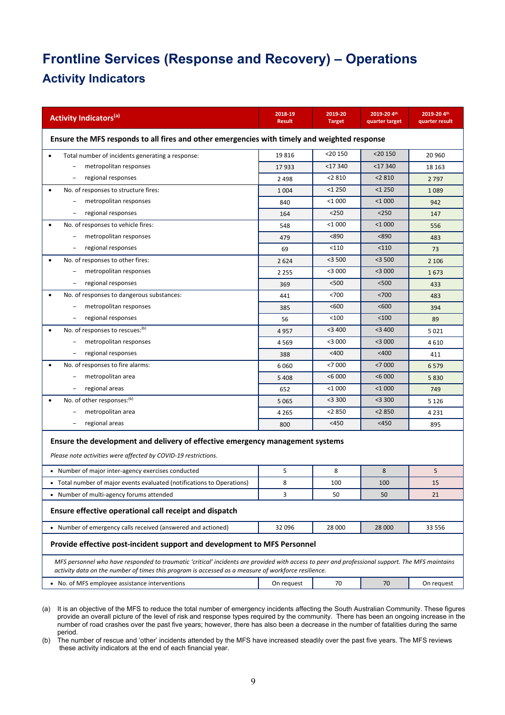# **Frontline Services (Response and Recovery) – Operations Activity Indicators**

| <b>Activity Indicators</b> <sup>(a)</sup>                                                                                                                                                                                                              | 2018-19<br><b>Result</b> | 2019-20<br><b>Target</b> | 2019-20 4th<br>quarter target | 2019-20 4th<br>quarter result |  |
|--------------------------------------------------------------------------------------------------------------------------------------------------------------------------------------------------------------------------------------------------------|--------------------------|--------------------------|-------------------------------|-------------------------------|--|
| Ensure the MFS responds to all fires and other emergencies with timely and weighted response                                                                                                                                                           |                          |                          |                               |                               |  |
| Total number of incidents generating a response:                                                                                                                                                                                                       | 19816                    | <20 150                  | $<$ 20 150                    | 20 960                        |  |
| metropolitan responses                                                                                                                                                                                                                                 | 17933                    | <17 340                  | $<$ 17 340                    | 18 163                        |  |
| regional responses                                                                                                                                                                                                                                     | 2 4 9 8                  | < 2810                   | < 2810                        | 2 7 9 7                       |  |
| No. of responses to structure fires:                                                                                                                                                                                                                   | 1 0 0 4                  | $<$ 1 250                | $<$ 1 250                     | 1089                          |  |
| metropolitan responses                                                                                                                                                                                                                                 | 840                      | $<$ 1 $000$              | $<$ 1 $000$                   | 942                           |  |
| regional responses                                                                                                                                                                                                                                     | 164                      | $250$                    | $250$                         | 147                           |  |
| No. of responses to vehicle fires:                                                                                                                                                                                                                     | 548                      | $<$ 1 000                | $<$ 1 $000$                   | 556                           |  |
| metropolitan responses                                                                                                                                                                                                                                 | 479                      | < 890                    | <890                          | 483                           |  |
| regional responses                                                                                                                                                                                                                                     | 69                       | $<$ 110                  | < 110                         | 73                            |  |
| No. of responses to other fires:                                                                                                                                                                                                                       | 2624                     | $<$ 3 500                | $<$ 3 500                     | 2 1 0 6                       |  |
| metropolitan responses                                                                                                                                                                                                                                 | 2 2 5 5                  | $<$ 3 000                | $<$ 3 000                     | 1673                          |  |
| regional responses                                                                                                                                                                                                                                     | 369                      | < 500                    | < 500                         | 433                           |  |
| No. of responses to dangerous substances:                                                                                                                                                                                                              | 441                      | < 700                    | $700$                         | 483                           |  |
| metropolitan responses                                                                                                                                                                                                                                 | 385                      | < 600                    | <600                          | 394                           |  |
| regional responses                                                                                                                                                                                                                                     | 56                       | $<$ 100                  | $<$ 100                       | 89                            |  |
| No. of responses to rescues:(b)                                                                                                                                                                                                                        | 4957                     | $<$ 3 400                | $<$ 3 400                     | 5 0 2 1                       |  |
| metropolitan responses                                                                                                                                                                                                                                 | 4569                     | $<$ 3 000                | $<$ 3 000                     | 4610                          |  |
| regional responses                                                                                                                                                                                                                                     | 388                      | $<$ 400                  | < 400                         | 411                           |  |
| No. of responses to fire alarms:                                                                                                                                                                                                                       | 6060                     | $<$ 7 000                | < 7000                        | 6579                          |  |
| metropolitan area                                                                                                                                                                                                                                      | 5 4 0 8                  | < 6000                   | < 6000                        | 5830                          |  |
| regional areas                                                                                                                                                                                                                                         | 652                      | $<$ 1 000                | $<$ 1 000                     | 749                           |  |
| No. of other responses:(b)                                                                                                                                                                                                                             | 5 0 6 5                  | $<$ 3 300                | $<$ 3 300                     | 5 1 2 6                       |  |
| metropolitan area                                                                                                                                                                                                                                      | 4 2 6 5                  | $<$ 2 850                | < 2850                        | 4 2 3 1                       |  |
| regional areas                                                                                                                                                                                                                                         | 800                      | $<$ 450                  | $<$ 450                       | 895                           |  |
| Ensure the development and delivery of effective emergency management systems<br>Please note activities were affected by COVID-19 restrictions.                                                                                                        |                          |                          |                               |                               |  |
| • Number of major inter-agency exercises conducted                                                                                                                                                                                                     | 5                        | 8                        | 8                             | 5                             |  |
| • Total number of major events evaluated (notifications to Operations)                                                                                                                                                                                 | 8                        | 100                      | 100                           | 15                            |  |
| • Number of multi-agency forums attended                                                                                                                                                                                                               | 3                        | 50                       | 50                            | 21                            |  |
| Ensure effective operational call receipt and dispatch                                                                                                                                                                                                 |                          |                          |                               |                               |  |
| • Number of emergency calls received (answered and actioned)                                                                                                                                                                                           | 32 096                   | 28 000                   | 28 000                        | 33 556                        |  |
| Provide effective post-incident support and development to MFS Personnel                                                                                                                                                                               |                          |                          |                               |                               |  |
| MFS personnel who have responded to traumatic 'critical' incidents are provided with access to peer and professional support. The MFS maintains<br>activity data on the number of times this program is accessed as a measure of workforce resilience. |                          |                          |                               |                               |  |
| • No. of MFS employee assistance interventions                                                                                                                                                                                                         | On request               | 70                       | 70                            | On request                    |  |

(a) It is an objective of the MFS to reduce the total number of emergency incidents affecting the South Australian Community. These figures provide an overall picture of the level of risk and response types required by the community. There has been an ongoing increase in the number of road crashes over the past five years; however, there has also been a decrease in the number of fatalities during the same period.

(b) The number of rescue and 'other' incidents attended by the MFS have increased steadily over the past five years. The MFS reviews these activity indicators at the end of each financial year.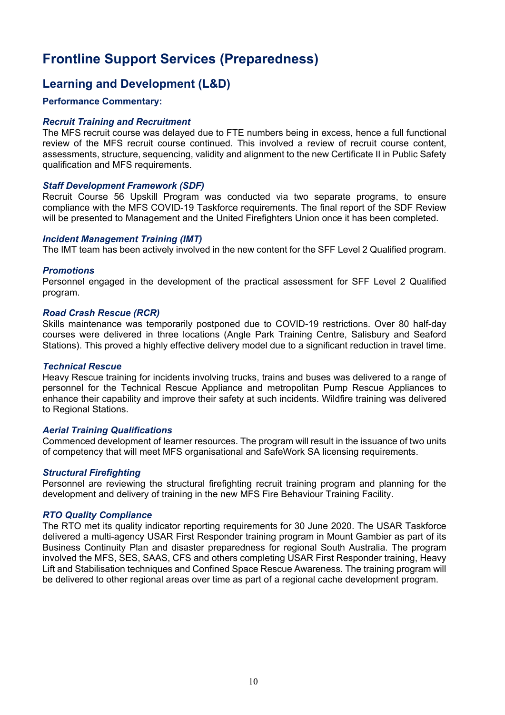### **Frontline Support Services (Preparedness)**

### **Learning and Development (L&D)**

#### **Performance Commentary:**

#### *Recruit Training and Recruitment*

The MFS recruit course was delayed due to FTE numbers being in excess, hence a full functional review of the MFS recruit course continued. This involved a review of recruit course content, assessments, structure, sequencing, validity and alignment to the new Certificate II in Public Safety qualification and MFS requirements.

#### *Staff Development Framework (SDF)*

Recruit Course 56 Upskill Program was conducted via two separate programs, to ensure compliance with the MFS COVID-19 Taskforce requirements. The final report of the SDF Review will be presented to Management and the United Firefighters Union once it has been completed.

#### *Incident Management Training (IMT)*

The IMT team has been actively involved in the new content for the SFF Level 2 Qualified program.

#### *Promotions*

Personnel engaged in the development of the practical assessment for SFF Level 2 Qualified program.

#### *Road Crash Rescue (RCR)*

Skills maintenance was temporarily postponed due to COVID-19 restrictions. Over 80 half-day courses were delivered in three locations (Angle Park Training Centre, Salisbury and Seaford Stations). This proved a highly effective delivery model due to a significant reduction in travel time.

#### *Technical Rescue*

Heavy Rescue training for incidents involving trucks, trains and buses was delivered to a range of personnel for the Technical Rescue Appliance and metropolitan Pump Rescue Appliances to enhance their capability and improve their safety at such incidents. Wildfire training was delivered to Regional Stations.

#### *Aerial Training Qualifications*

Commenced development of learner resources. The program will result in the issuance of two units of competency that will meet MFS organisational and SafeWork SA licensing requirements.

#### *Structural Firefighting*

Personnel are reviewing the structural firefighting recruit training program and planning for the development and delivery of training in the new MFS Fire Behaviour Training Facility.

#### *RTO Quality Compliance*

The RTO met its quality indicator reporting requirements for 30 June 2020. The USAR Taskforce delivered a multi-agency USAR First Responder training program in Mount Gambier as part of its Business Continuity Plan and disaster preparedness for regional South Australia. The program involved the MFS, SES, SAAS, CFS and others completing USAR First Responder training, Heavy Lift and Stabilisation techniques and Confined Space Rescue Awareness. The training program will be delivered to other regional areas over time as part of a regional cache development program.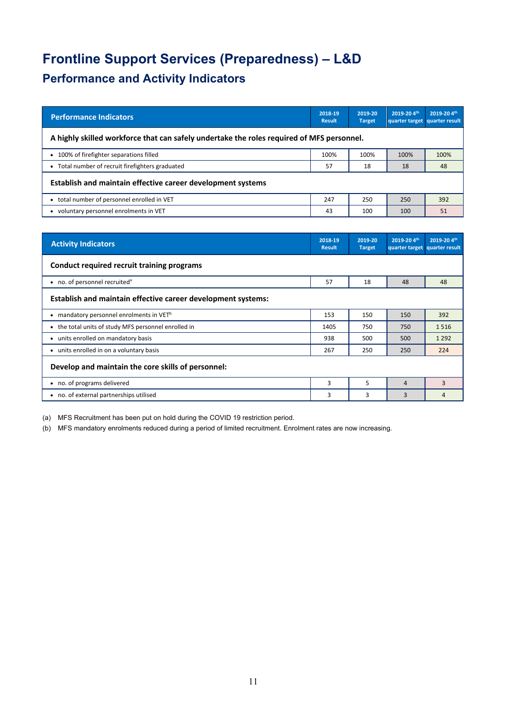# **Frontline Support Services (Preparedness) – L&D**

### **Performance and Activity Indicators**

| <b>Performance Indicators</b>                                                             | 2018-19<br><b>Result</b> | 2019-20<br><b>Target</b> | 2019-20 4th<br>quarter target quarter result | 2019-20 4th |  |  |  |
|-------------------------------------------------------------------------------------------|--------------------------|--------------------------|----------------------------------------------|-------------|--|--|--|
| A highly skilled workforce that can safely undertake the roles required of MFS personnel. |                          |                          |                                              |             |  |  |  |
| • 100% of firefighter separations filled                                                  | 100%                     | 100%                     | 100%                                         | 100%        |  |  |  |
| • Total number of recruit firefighters graduated                                          | 57                       | 18                       | 18                                           | 48          |  |  |  |
| Establish and maintain effective career development systems                               |                          |                          |                                              |             |  |  |  |
| • total number of personnel enrolled in VET                                               | 247                      | 250                      | 250                                          | 392         |  |  |  |
| voluntary personnel enrolments in VET<br>٠                                                | 43                       | 100                      | 100                                          | 51          |  |  |  |

| <b>Activity Indicators</b>                                   | 2018-19<br><b>Result</b> | 2019-20<br><b>Target</b> | 2019-20 4th<br>quarter target | 2019-20 4th<br>quarter result |
|--------------------------------------------------------------|--------------------------|--------------------------|-------------------------------|-------------------------------|
| Conduct required recruit training programs                   |                          |                          |                               |                               |
| • no. of personnel recruited <sup>a</sup>                    | 57                       | 18                       | 48                            | 48                            |
| Establish and maintain effective career development systems: |                          |                          |                               |                               |
| • mandatory personnel enrolments in VET <sup>b</sup>         | 153                      | 150                      | 150                           | 392                           |
| • the total units of study MFS personnel enrolled in         | 1405                     | 750                      | 750                           | 1516                          |
| • units enrolled on mandatory basis                          | 938                      | 500                      | 500                           | 1 2 9 2                       |
| • units enrolled in on a voluntary basis                     | 267                      | 250                      | 250                           | 224                           |
| Develop and maintain the core skills of personnel:           |                          |                          |                               |                               |
| • no. of programs delivered                                  | 3                        | 5                        | $\overline{4}$                | 3                             |
| • no. of external partnerships utilised                      | 3                        | 3                        | 3                             | 4                             |

(a) MFS Recruitment has been put on hold during the COVID 19 restriction period.

(b) MFS mandatory enrolments reduced during a period of limited recruitment. Enrolment rates are now increasing.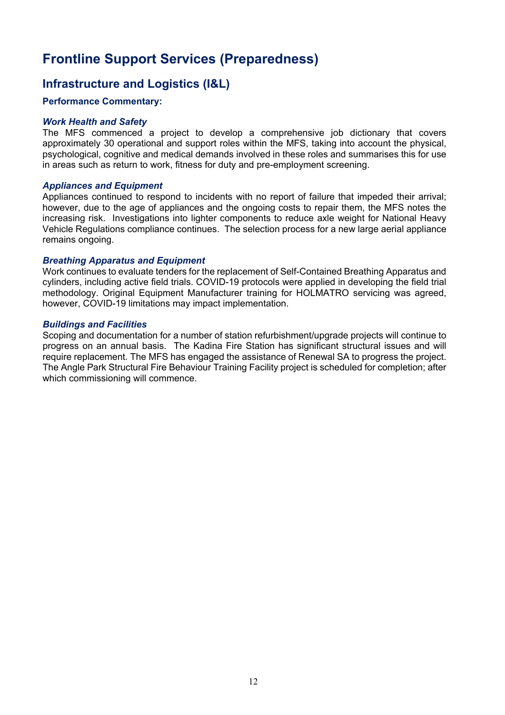### **Frontline Support Services (Preparedness)**

### **Infrastructure and Logistics (I&L)**

#### **Performance Commentary:**

#### *Work Health and Safety*

The MFS commenced a project to develop a comprehensive job dictionary that covers approximately 30 operational and support roles within the MFS, taking into account the physical, psychological, cognitive and medical demands involved in these roles and summarises this for use in areas such as return to work, fitness for duty and pre-employment screening.

#### *Appliances and Equipment*

Appliances continued to respond to incidents with no report of failure that impeded their arrival; however, due to the age of appliances and the ongoing costs to repair them, the MFS notes the increasing risk. Investigations into lighter components to reduce axle weight for National Heavy Vehicle Regulations compliance continues. The selection process for a new large aerial appliance remains ongoing.

#### *Breathing Apparatus and Equipment*

Work continues to evaluate tenders for the replacement of Self-Contained Breathing Apparatus and cylinders, including active field trials. COVID-19 protocols were applied in developing the field trial methodology. Original Equipment Manufacturer training for HOLMATRO servicing was agreed, however, COVID-19 limitations may impact implementation.

#### *Buildings and Facilities*

Scoping and documentation for a number of station refurbishment/upgrade projects will continue to progress on an annual basis. The Kadina Fire Station has significant structural issues and will require replacement. The MFS has engaged the assistance of Renewal SA to progress the project. The Angle Park Structural Fire Behaviour Training Facility project is scheduled for completion; after which commissioning will commence.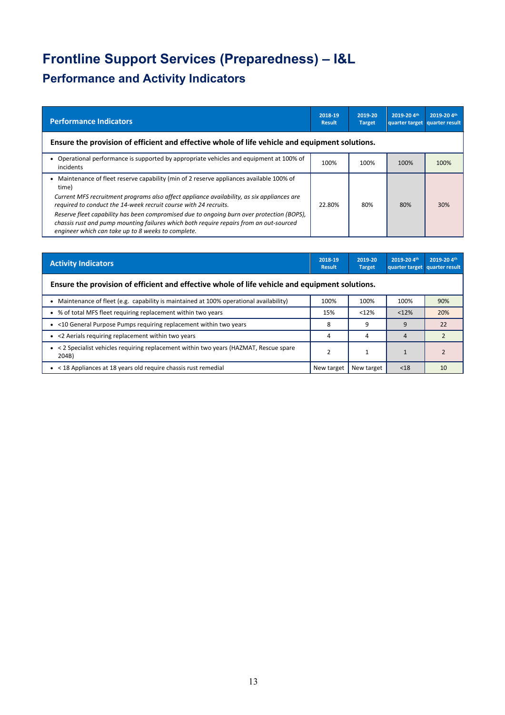# **Frontline Support Services (Preparedness) – I&L Performance and Activity Indicators**

| <b>Performance Indicators</b>                                                                                                                                                                                                             | 2018-19<br><b>Result</b> | 2019-20<br><b>Target</b> | 2019-20 4th<br>quarter target | 2019-20 4th<br>quarter result |
|-------------------------------------------------------------------------------------------------------------------------------------------------------------------------------------------------------------------------------------------|--------------------------|--------------------------|-------------------------------|-------------------------------|
| Ensure the provision of efficient and effective whole of life vehicle and equipment solutions.                                                                                                                                            |                          |                          |                               |                               |
| Operational performance is supported by appropriate vehicles and equipment at 100% of<br>٠<br>incidents                                                                                                                                   | 100%                     | 100%                     | 100%                          | 100%                          |
| Maintenance of fleet reserve capability (min of 2 reserve appliances available 100% of<br>٠<br>time)                                                                                                                                      |                          |                          |                               |                               |
| Current MFS recruitment programs also affect appliance availability, as six appliances are<br>required to conduct the 14-week recruit course with 24 recruits.                                                                            | 22.80%                   | 80%                      | 80%                           | 30%                           |
| Reserve fleet capability has been compromised due to ongoing burn over protection (BOPS),<br>chassis rust and pump mounting failures which both require repairs from an out-sourced<br>engineer which can take up to 8 weeks to complete. |                          |                          |                               |                               |

| <b>Activity Indicators</b>                                                                         | 2018-19<br><b>Result</b> | 2019-20<br><b>Target</b> | 2019-20 4th<br>quarter target quarter result | 2019-20 4th |
|----------------------------------------------------------------------------------------------------|--------------------------|--------------------------|----------------------------------------------|-------------|
| Ensure the provision of efficient and effective whole of life vehicle and equipment solutions.     |                          |                          |                                              |             |
| Maintenance of fleet (e.g. capability is maintained at 100% operational availability)<br>٠         | 100%                     | 100%                     | 100%                                         | 90%         |
| • % of total MFS fleet requiring replacement within two years                                      | 15%                      | <12%                     | <12%                                         | 20%         |
| • <10 General Purpose Pumps requiring replacement within two years                                 | 8                        | 9                        | 9                                            | 22          |
| • <2 Aerials requiring replacement within two years                                                | 4                        | 4                        | 4                                            |             |
| < 2 Specialist vehicles requiring replacement within two years (HAZMAT, Rescue spare<br>٠<br>204B) | 2                        | $\mathbf{1}$             | $\mathbf{1}$                                 |             |
| • < 18 Appliances at 18 years old require chassis rust remedial                                    | New target               | New target               | < 18                                         | 10          |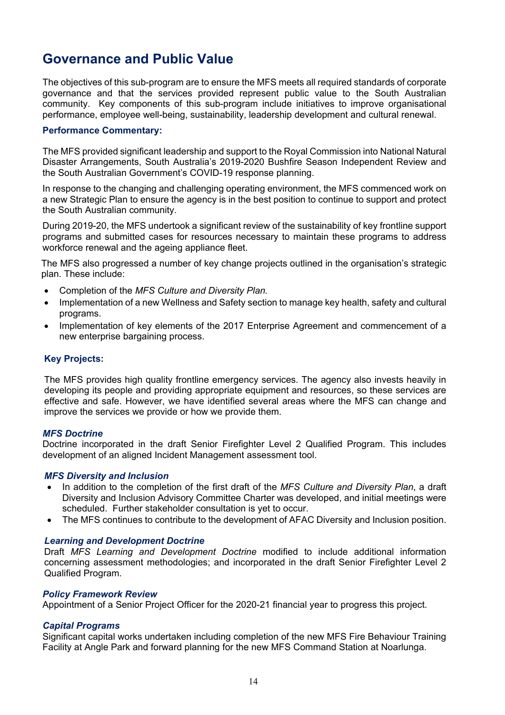### **Governance and Public Value**

The objectives of this sub-program are to ensure the MFS meets all required standards of corporate governance and that the services provided represent public value to the South Australian community. Key components of this sub-program include initiatives to improve organisational performance, employee well-being, sustainability, leadership development and cultural renewal.

#### **Performance Commentary:**

The MFS provided significant leadership and support to the Royal Commission into National Natural Disaster Arrangements, South Australia's 2019-2020 Bushfire Season Independent Review and the South Australian Government's COVID-19 response planning.

In response to the changing and challenging operating environment, the MFS commenced work on a new Strategic Plan to ensure the agency is in the best position to continue to support and protect the South Australian community.

During 2019-20, the MFS undertook a significant review of the sustainability of key frontline support programs and submitted cases for resources necessary to maintain these programs to address workforce renewal and the ageing appliance fleet.

The MFS also progressed a number of key change projects outlined in the organisation's strategic plan. These include:

- Completion of the *MFS Culture and Diversity Plan.*
- Implementation of a new Wellness and Safety section to manage key health, safety and cultural programs.
- Implementation of key elements of the 2017 Enterprise Agreement and commencement of a new enterprise bargaining process.

#### **Key Projects:**

The MFS provides high quality frontline emergency services. The agency also invests heavily in developing its people and providing appropriate equipment and resources, so these services are effective and safe. However, we have identified several areas where the MFS can change and improve the services we provide or how we provide them.

#### *MFS Doctrine*

Doctrine incorporated in the draft Senior Firefighter Level 2 Qualified Program. This includes development of an aligned Incident Management assessment tool.

#### *MFS Diversity and Inclusion*

- In addition to the completion of the first draft of the *MFS Culture and Diversity Plan*, a draft Diversity and Inclusion Advisory Committee Charter was developed, and initial meetings were scheduled. Further stakeholder consultation is yet to occur.
- The MFS continues to contribute to the development of AFAC Diversity and Inclusion position.

#### *Learning and Development Doctrine*

Draft *MFS Learning and Development Doctrine* modified to include additional information concerning assessment methodologies; and incorporated in the draft Senior Firefighter Level 2 Qualified Program.

#### *Policy Framework Review*

Appointment of a Senior Project Officer for the 2020-21 financial year to progress this project.

#### *Capital Programs*

Significant capital works undertaken including completion of the new MFS Fire Behaviour Training Facility at Angle Park and forward planning for the new MFS Command Station at Noarlunga.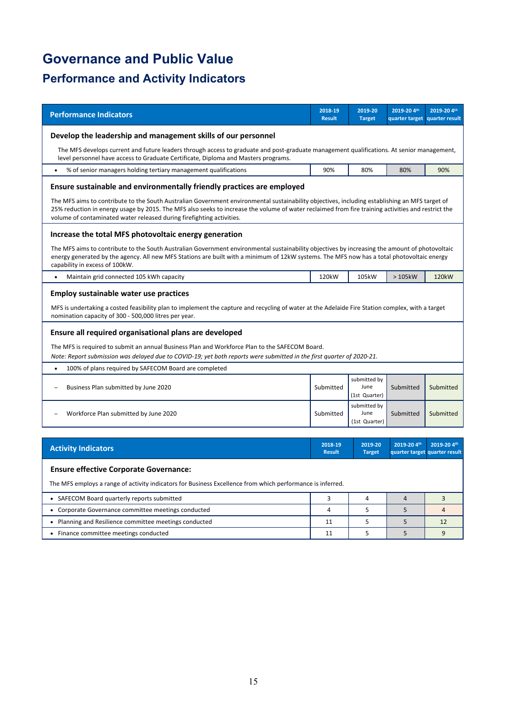# **Governance and Public Value Performance and Activity Indicators**

| <b>Performance Indicators</b>                                                                                                                                                                                                                                                                                                                                                 | 2018-19<br><b>Result</b> | 2019-20<br><b>Target</b>              | 2019-20 4th<br>quarter target | 2019-20 4th<br>quarter result                |  |  |  |  |  |  |  |  |  |
|-------------------------------------------------------------------------------------------------------------------------------------------------------------------------------------------------------------------------------------------------------------------------------------------------------------------------------------------------------------------------------|--------------------------|---------------------------------------|-------------------------------|----------------------------------------------|--|--|--|--|--|--|--|--|--|
| Develop the leadership and management skills of our personnel                                                                                                                                                                                                                                                                                                                 |                          |                                       |                               |                                              |  |  |  |  |  |  |  |  |  |
| The MFS develops current and future leaders through access to graduate and post-graduate management qualifications. At senior management,<br>level personnel have access to Graduate Certificate, Diploma and Masters programs.                                                                                                                                               |                          |                                       |                               |                                              |  |  |  |  |  |  |  |  |  |
| % of senior managers holding tertiary management qualifications<br>$\bullet$                                                                                                                                                                                                                                                                                                  | 90%                      | 80%                                   | 80%                           | 90%                                          |  |  |  |  |  |  |  |  |  |
| Ensure sustainable and environmentally friendly practices are employed                                                                                                                                                                                                                                                                                                        |                          |                                       |                               |                                              |  |  |  |  |  |  |  |  |  |
| The MFS aims to contribute to the South Australian Government environmental sustainability objectives, including establishing an MFS target of<br>25% reduction in energy usage by 2015. The MFS also seeks to increase the volume of water reclaimed from fire training activities and restrict the<br>volume of contaminated water released during firefighting activities. |                          |                                       |                               |                                              |  |  |  |  |  |  |  |  |  |
| Increase the total MFS photovoltaic energy generation                                                                                                                                                                                                                                                                                                                         |                          |                                       |                               |                                              |  |  |  |  |  |  |  |  |  |
| The MFS aims to contribute to the South Australian Government environmental sustainability objectives by increasing the amount of photovoltaic<br>energy generated by the agency. All new MFS Stations are built with a minimum of 12kW systems. The MFS now has a total photovoltaic energy<br>capability in excess of 100kW.                                                |                          |                                       |                               |                                              |  |  |  |  |  |  |  |  |  |
| Maintain grid connected 105 kWh capacity<br>$\bullet$                                                                                                                                                                                                                                                                                                                         | 120kW                    | 105kW                                 | >105kW                        | 120kW                                        |  |  |  |  |  |  |  |  |  |
| <b>Employ sustainable water use practices</b>                                                                                                                                                                                                                                                                                                                                 |                          |                                       |                               |                                              |  |  |  |  |  |  |  |  |  |
| MFS is undertaking a costed feasibility plan to implement the capture and recycling of water at the Adelaide Fire Station complex, with a target<br>nomination capacity of 300 - 500,000 litres per year.                                                                                                                                                                     |                          |                                       |                               |                                              |  |  |  |  |  |  |  |  |  |
| Ensure all required organisational plans are developed                                                                                                                                                                                                                                                                                                                        |                          |                                       |                               |                                              |  |  |  |  |  |  |  |  |  |
| The MFS is required to submit an annual Business Plan and Workforce Plan to the SAFECOM Board.<br>Note: Report submission was delayed due to COVID-19; yet both reports were submitted in the first quarter of 2020-21.                                                                                                                                                       |                          |                                       |                               |                                              |  |  |  |  |  |  |  |  |  |
| 100% of plans required by SAFECOM Board are completed<br>$\bullet$                                                                                                                                                                                                                                                                                                            |                          |                                       |                               |                                              |  |  |  |  |  |  |  |  |  |
| Business Plan submitted by June 2020                                                                                                                                                                                                                                                                                                                                          | Submitted                | submitted by<br>June<br>(1st Quarter) | Submitted                     | Submitted                                    |  |  |  |  |  |  |  |  |  |
| Workforce Plan submitted by June 2020                                                                                                                                                                                                                                                                                                                                         | Submitted                | submitted by<br>June<br>(1st Quarter) | Submitted                     | Submitted                                    |  |  |  |  |  |  |  |  |  |
|                                                                                                                                                                                                                                                                                                                                                                               |                          |                                       |                               |                                              |  |  |  |  |  |  |  |  |  |
| <b>Activity Indicators</b>                                                                                                                                                                                                                                                                                                                                                    | 2018-19<br><b>Result</b> | 2019-20<br><b>Target</b>              | 2019-20 4th                   | 2019-20 4th<br>quarter target quarter result |  |  |  |  |  |  |  |  |  |
| <b>Ensure effective Corporate Governance:</b>                                                                                                                                                                                                                                                                                                                                 |                          |                                       |                               |                                              |  |  |  |  |  |  |  |  |  |
| The MFS employs a range of activity indicators for Business Excellence from which performance is inferred.                                                                                                                                                                                                                                                                    |                          |                                       |                               |                                              |  |  |  |  |  |  |  |  |  |
| • SAFECOM Board quarterly reports submitted                                                                                                                                                                                                                                                                                                                                   | 3                        | 4                                     | $\overline{4}$                | 3                                            |  |  |  |  |  |  |  |  |  |
| Corporate Governance committee meetings conducted                                                                                                                                                                                                                                                                                                                             | 4                        | 5                                     | 5                             | 4                                            |  |  |  |  |  |  |  |  |  |
| Planning and Resilience committee meetings conducted                                                                                                                                                                                                                                                                                                                          | 11                       | 5                                     | 5                             | 12                                           |  |  |  |  |  |  |  |  |  |
| • Finance committee meetings conducted                                                                                                                                                                                                                                                                                                                                        | 11                       | 5                                     | 5                             | 9                                            |  |  |  |  |  |  |  |  |  |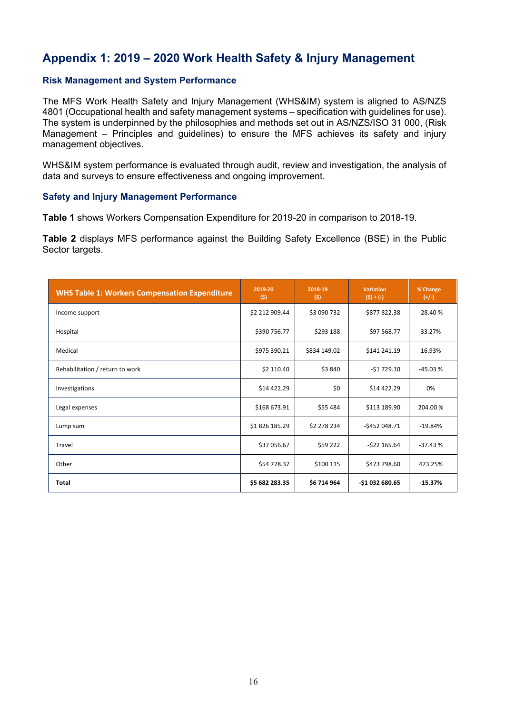### **Appendix 1: 2019 – 2020 Work Health Safety & Injury Management**

#### **Risk Management and System Performance**

The MFS Work Health Safety and Injury Management (WHS&IM) system is aligned to AS/NZS 4801 (Occupational health and safety management systems – specification with guidelines for use). The system is underpinned by the philosophies and methods set out in AS/NZS/ISO 31 000, (Risk Management – Principles and guidelines) to ensure the MFS achieves its safety and injury management objectives.

WHS&IM system performance is evaluated through audit, review and investigation, the analysis of data and surveys to ensure effectiveness and ongoing improvement.

#### **Safety and Injury Management Performance**

**Table 1** shows Workers Compensation Expenditure for 2019-20 in comparison to 2018-19.

**Table 2** displays MFS performance against the Building Safety Excellence (BSE) in the Public Sector targets.

| <b>WHS Table 1: Workers Compensation Expenditure</b> | 2019-20<br>(s) | 2018-19<br>(5) | <b>Variation</b><br>$(5) + (-)$ | % Change<br>$(+/-)$ |
|------------------------------------------------------|----------------|----------------|---------------------------------|---------------------|
| Income support                                       | \$2 212 909.44 | \$3 090 732    | -\$877 822.38                   | $-28.40%$           |
| Hospital                                             | \$390 756.77   | \$293 188      | \$97 568.77                     | 33.27%              |
| Medical                                              | \$975 390.21   | \$834 149.02   | \$141 241.19                    | 16.93%              |
| Rehabilitation / return to work                      | \$2 110.40     | \$3 840        | $-51729.10$                     | $-45.03%$           |
| Investigations                                       | \$14 422.29    | \$0            | \$14 422.29                     | 0%                  |
| Legal expenses                                       | \$168 673.91   | \$55 484       | \$113 189.90                    | 204.00%             |
| Lump sum                                             | \$1826 185.29  | \$2 278 234    | -\$452 048.71                   | $-19.84%$           |
| Travel                                               | \$37 056.67    | \$59 222       | $-522$ 165.64                   | $-37.43%$           |
| Other                                                | \$54 778.37    | \$100 115      | \$473 798.60                    | 473.25%             |
| <b>Total</b>                                         | \$5 682 283.35 | \$6 714 964    | -\$1 032 680.65                 | $-15.37%$           |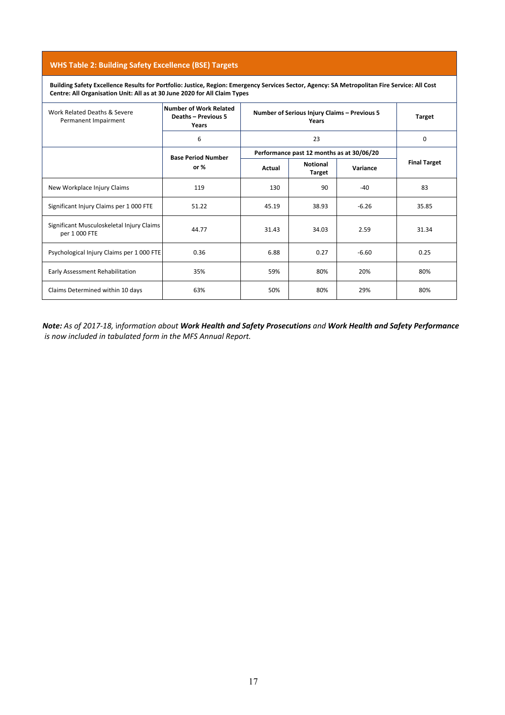#### **WHS Table 2: Building Safety Excellence (BSE) Targets**

**Building Safety Excellence Results for Portfolio: Justice, Region: Emergency Services Sector, Agency: SA Metropolitan Fire Service: All Cost Centre: All Organisation Unit: All as at 30 June 2020 for All Claim Types**

| Work Related Deaths & Severe<br>Permanent Impairment      | <b>Number of Work Related</b><br><b>Deaths - Previous 5</b><br><b>Years</b> |        | Number of Serious Injury Claims - Previous 5<br>Years |          |                     |  |  |  |  |
|-----------------------------------------------------------|-----------------------------------------------------------------------------|--------|-------------------------------------------------------|----------|---------------------|--|--|--|--|
|                                                           | 6                                                                           |        |                                                       | $\Omega$ |                     |  |  |  |  |
|                                                           | <b>Base Period Number</b>                                                   |        | Performance past 12 months as at 30/06/20             |          |                     |  |  |  |  |
|                                                           | or%                                                                         | Actual | <b>Notional</b><br>Target                             | Variance | <b>Final Target</b> |  |  |  |  |
| New Workplace Injury Claims                               | 119                                                                         | 130    | 90                                                    | $-40$    | 83                  |  |  |  |  |
| Significant Injury Claims per 1 000 FTE                   | 51.22                                                                       | 45.19  | 38.93                                                 | $-6.26$  | 35.85               |  |  |  |  |
| Significant Musculoskeletal Injury Claims<br>per 1000 FTE | 44.77                                                                       | 31.43  | 34.03                                                 | 2.59     | 31.34               |  |  |  |  |
| Psychological Injury Claims per 1 000 FTE                 | 0.36                                                                        | 6.88   | 0.27                                                  | $-6.60$  | 0.25                |  |  |  |  |
| Early Assessment Rehabilitation                           | 35%                                                                         | 59%    | 80%                                                   | 20%      | 80%                 |  |  |  |  |
| Claims Determined within 10 days                          | 63%                                                                         | 50%    | 80%                                                   | 29%      | 80%                 |  |  |  |  |

*Note: As of 2017-18,* i*nformation about Work Health and Safety Prosecutions and Work Health and Safety Performance is now included in tabulated form in the MFS Annual Report.*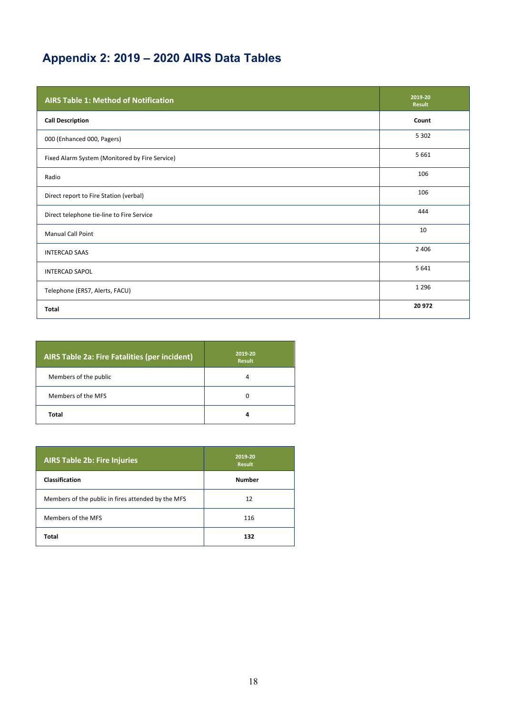### **Appendix 2: 2019 – 2020 AIRS Data Tables**

| <b>AIRS Table 1: Method of Notification</b>    | 2019-20<br><b>Result</b> |
|------------------------------------------------|--------------------------|
| <b>Call Description</b>                        | Count                    |
| 000 (Enhanced 000, Pagers)                     | 5 3 0 2                  |
| Fixed Alarm System (Monitored by Fire Service) | 5 6 6 1                  |
| Radio                                          | 106                      |
| Direct report to Fire Station (verbal)         | 106                      |
| Direct telephone tie-line to Fire Service      | 444                      |
| Manual Call Point                              | 10                       |
| <b>INTERCAD SAAS</b>                           | 2 4 0 6                  |
| <b>INTERCAD SAPOL</b>                          | 5 6 4 1                  |
| Telephone (ERS7, Alerts, FACU)                 | 1 2 9 6                  |
| <b>Total</b>                                   | 20 972                   |

| <b>AIRS Table 2a: Fire Fatalities (per incident)</b> | 2019-20<br><b>Result</b> |
|------------------------------------------------------|--------------------------|
| Members of the public                                | 4                        |
| Members of the MFS                                   | O                        |
| Total                                                |                          |

| <b>AIRS Table 2b: Fire Injuries</b>                | 2019-20<br><b>Result</b> |
|----------------------------------------------------|--------------------------|
| Classification                                     | <b>Number</b>            |
| Members of the public in fires attended by the MFS | 12                       |
| Members of the MFS                                 | 116                      |
| Total                                              | 132                      |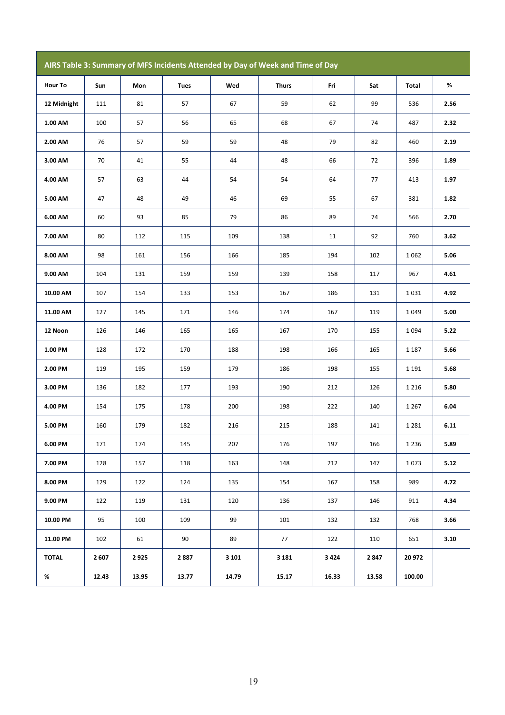|              |       |       |             |          | AIRS Table 3: Summary of MFS Incidents Attended by Day of Week and Time of Day |       |       |         |      |
|--------------|-------|-------|-------------|----------|--------------------------------------------------------------------------------|-------|-------|---------|------|
| Hour To      | Sun   | Mon   | <b>Tues</b> | Wed      | <b>Thurs</b>                                                                   | Fri   | Sat   | Total   | $\%$ |
| 12 Midnight  | 111   | 81    | 57          | 67       | 59                                                                             | 62    | 99    | 536     | 2.56 |
| 1.00 AM      | 100   | 57    | 56          | 65<br>68 |                                                                                | 67    | 74    | 487     | 2.32 |
| 2.00 AM      | 76    | 57    | 59          | 59       | 48<br>79                                                                       |       | 82    | 460     | 2.19 |
| 3.00 AM      | 70    | 41    | 55          | 44       | 48                                                                             | 66    | 72    | 396     | 1.89 |
| 4.00 AM      | 57    | 63    | 44          | 54       | 54                                                                             | 64    | 77    | 413     | 1.97 |
| 5.00 AM      | 47    | 48    | 49          | 46       | 69                                                                             | 55    | 67    | 381     | 1.82 |
| 6.00 AM      | 60    | 93    | 85          | 79       | 86                                                                             | 89    | 74    | 566     | 2.70 |
| 7.00 AM      | 80    | 112   | 115         | 109      | 138                                                                            | 11    | 92    | 760     | 3.62 |
| 8.00 AM      | 98    | 161   | 156         | 166      | 185                                                                            | 194   | 102   | 1062    | 5.06 |
| 9.00 AM      | 104   | 131   | 159         | 159      | 139                                                                            | 158   | 117   | 967     | 4.61 |
| 10.00 AM     | 107   | 154   | 133         | 153      | 167<br>186                                                                     |       | 131   | 1031    | 4.92 |
| 11.00 AM     | 127   | 145   | 171         | 146      | 174<br>167                                                                     |       | 119   | 1049    | 5.00 |
| 12 Noon      | 126   | 146   | 165         | 165      | 167                                                                            | 170   | 155   | 1094    | 5.22 |
| 1.00 PM      | 128   | 172   | 170         | 188      | 198                                                                            | 166   | 165   | 1 1 8 7 | 5.66 |
| 2.00 PM      | 119   | 195   | 159         | 179      | 186                                                                            | 198   | 155   | 1 1 9 1 | 5.68 |
| 3.00 PM      | 136   | 182   | 177         | 193      | 190                                                                            | 212   | 126   | 1 2 1 6 | 5.80 |
| 4.00 PM      | 154   | 175   | 178         | 200      | 198                                                                            | 222   | 140   | 1 2 6 7 | 6.04 |
| 5.00 PM      | 160   | 179   | 182         | 216      | 215                                                                            | 188   | 141   | 1 2 8 1 | 6.11 |
| 6.00 PM      | 171   | 174   | 145         | 207      | 176                                                                            | 197   | 166   | 1 2 3 6 | 5.89 |
| 7.00 PM      | 128   | 157   | 118         | 163      | 148                                                                            | 212   | 147   | 1073    | 5.12 |
| 8.00 PM      | 129   | 122   | 124         | 135      | 154                                                                            | 167   | 158   | 989     | 4.72 |
| 9.00 PM      | 122   | 119   | 131         | 120      | 136                                                                            | 137   | 146   | 911     | 4.34 |
| 10.00 PM     | 95    | 100   | 109         | 99       | 101                                                                            | 132   | 132   | 768     | 3.66 |
| 11.00 PM     | 102   | 61    | 90          | 89       | 77                                                                             | 122   | 110   | 651     | 3.10 |
| <b>TOTAL</b> | 2607  | 2925  | 2887        | 3 1 0 1  | 3 1 8 1                                                                        | 3424  | 2847  | 20 972  |      |
| %            | 12.43 | 13.95 | 13.77       | 14.79    | 15.17                                                                          | 16.33 | 13.58 | 100.00  |      |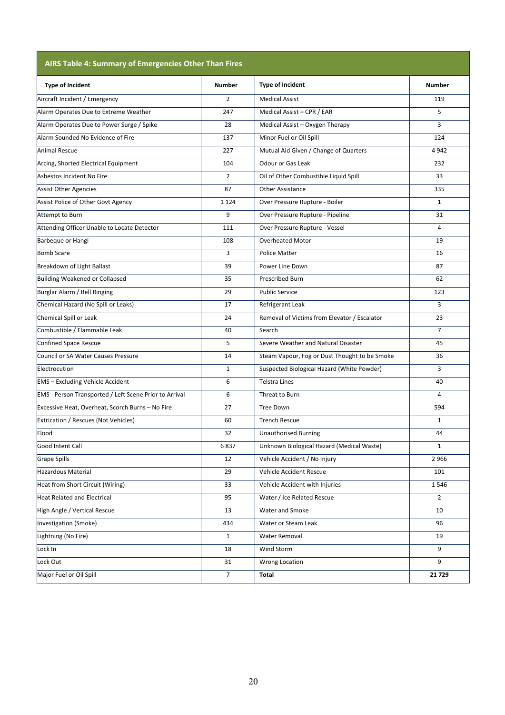| AIRS Table 4: Summary of Emergencies Other Than Fires  |                |                                               |                |
|--------------------------------------------------------|----------------|-----------------------------------------------|----------------|
| <b>Type of Incident</b>                                | <b>Number</b>  | <b>Type of Incident</b>                       | <b>Number</b>  |
| Aircraft Incident / Emergency                          | $\overline{2}$ | <b>Medical Assist</b>                         | 119            |
| Alarm Operates Due to Extreme Weather                  | 247            | Medical Assist - CPR / EAR                    | 5              |
| Alarm Operates Due to Power Surge / Spike              | 28             | Medical Assist - Oxygen Therapy               | 3              |
| Alarm Sounded No Evidence of Fire                      | 137            | Minor Fuel or Oil Spill                       | 124            |
| Animal Rescue                                          | 227            | Mutual Aid Given / Change of Quarters         | 4942           |
| Arcing, Shorted Electrical Equipment                   | 104            | Odour or Gas Leak                             | 232            |
| Asbestos Incident No Fire                              | $\overline{2}$ | Oil of Other Combustible Liquid Spill         | 33             |
| <b>Assist Other Agencies</b>                           | 87             | <b>Other Assistance</b>                       | 335            |
| Assist Police of Other Govt Agency                     | 1 1 2 4        | Over Pressure Rupture - Boiler                | $\mathbf{1}$   |
| Attempt to Burn                                        | 9              | Over Pressure Rupture - Pipeline              | 31             |
| Attending Officer Unable to Locate Detector            | 111            | Over Pressure Rupture - Vessel                | 4              |
| Barbeque or Hangi                                      | 108            | <b>Overheated Motor</b>                       | 19             |
| <b>Bomb Scare</b>                                      | 3              | <b>Police Matter</b>                          | 16             |
| Breakdown of Light Ballast                             | 39             | Power Line Down                               | 87             |
| <b>Building Weakened or Collapsed</b>                  | 35             | Prescribed Burn                               | 62             |
| Burglar Alarm / Bell Ringing                           | 29             | <b>Public Service</b>                         | 123            |
| Chemical Hazard (No Spill or Leaks)                    | 17             | Refrigerant Leak                              | 3              |
| Chemical Spill or Leak                                 | 24             | Removal of Victims from Elevator / Escalator  | 23             |
| Combustible / Flammable Leak                           | 40             | Search                                        | $\overline{7}$ |
| <b>Confined Space Rescue</b>                           | 5              | Severe Weather and Natural Disaster           | 45             |
| Council or SA Water Causes Pressure                    | 14             | Steam Vapour, Fog or Dust Thought to be Smoke | 36             |
| Electrocution                                          | $\mathbf{1}$   | Suspected Biological Hazard (White Powder)    | 3              |
| <b>EMS</b> - Excluding Vehicle Accident                | 6              | <b>Telstra Lines</b>                          | 40             |
| EMS - Person Transported / Left Scene Prior to Arrival | 6              | Threat to Burn                                | 4              |
| Excessive Heat, Overheat, Scorch Burns - No Fire       | 27             | <b>Tree Down</b>                              | 594            |
| Extrication / Rescues (Not Vehicles)                   | 60             | <b>Trench Rescue</b>                          | $\mathbf{1}$   |
| Flood                                                  | 32             | <b>Unauthorised Burning</b>                   | 44             |
| Good Intent Call                                       | 6837           | Unknown Biological Hazard (Medical Waste)     | $\mathbf{1}$   |
| Grape Spills                                           | 12             | Vehicle Accident / No Injury                  | 2966           |
| Hazardous Material                                     | 29             | Vehicle Accident Rescue                       | 101            |
| Heat from Short Circuit (Wiring)                       | 33             | Vehicle Accident with Injuries                | 1546           |
| <b>Heat Related and Electrical</b>                     | 95             | Water / Ice Related Rescue                    | $\overline{2}$ |
| High Angle / Vertical Rescue                           | 13             | Water and Smoke                               | 10             |
| nvestigation (Smoke)                                   | 434            | Water or Steam Leak                           | 96             |
| Lightning (No Fire)                                    | $\mathbf{1}$   | Water Removal                                 | 19             |
| .ock In                                                | 18             | Wind Storm                                    | 9              |
| ock Out.                                               | 31             | Wrong Location                                | 9              |
| Major Fuel or Oil Spill                                | $\overline{7}$ | Total                                         | 21729          |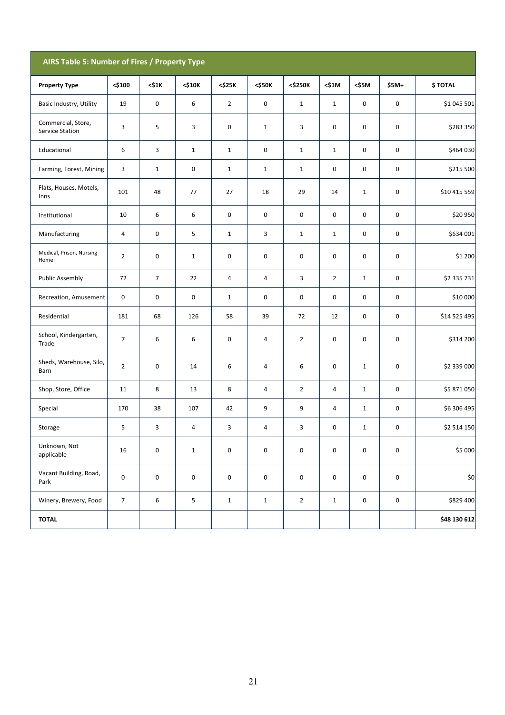| AIRS Table 5: Number of Fires / Property Type |                |                |              |                |                |                |                |              |             |              |
|-----------------------------------------------|----------------|----------------|--------------|----------------|----------------|----------------|----------------|--------------|-------------|--------------|
| <b>Property Type</b>                          | $<$ \$100      | $<$ \$1K       | $<$ \$10K    | <\$25K         | <\$50K         | <\$250K        | $<$ \$1M       | <\$5M        | $$5M+$      | \$ TOTAL     |
| Basic Industry, Utility                       | 19             | 0              | 6            | $\overline{2}$ | 0              | $\mathbf{1}$   | $\mathbf{1}$   | 0            | $\mathsf 0$ | \$1 045 501  |
| Commercial, Store,<br>Service Station         | 3              | 5              | 3            | 0              | $\mathbf{1}$   | 3              | 0              | 0            | 0           | \$283 350    |
| Educational                                   | 6              | 3              | $\mathbf{1}$ | $\mathbf 1$    | 0              | $\mathbf{1}$   | $\mathbf{1}$   | 0            | 0           | \$464 030    |
| Farming, Forest, Mining                       | 3              | $\mathbf{1}$   | 0            | $\mathbf{1}$   | $\mathbf{1}$   | $\mathbf{1}$   | 0              | 0            | 0           | \$215 500    |
| Flats, Houses, Motels,<br>Inns                | 101            | 48             | 77           | 27             | 18             | 29             | 14             | $\mathbf{1}$ | 0           | \$10 415 559 |
| Institutional                                 | 10             | 6              | 6            | 0              | 0              | 0              | 0              | 0            | 0           | \$20 950     |
| Manufacturing                                 | 4              | 0              | 5            | $\mathbf{1}$   | 3              | $\mathbf{1}$   | $\mathbf{1}$   | $\mathsf 0$  | $\mathsf 0$ | \$634 001    |
| Medical, Prison, Nursing<br>Home              | $\overline{2}$ |                | $\mathbf{1}$ | 0              | 0              | 0              | 0              | 0            | 0           | \$1 200      |
| <b>Public Assembly</b>                        | 72             | $\overline{7}$ | 22           | 4              | 4              | 3              | $\overline{2}$ | $\mathbf{1}$ | 0           | \$2 335 731  |
| Recreation, Amusement                         | 0              | 0              | 0            | $\mathbf 1$    | 0              | 0              | 0              | 0            | 0           | \$10 000     |
| Residential                                   | 181            | 68             | 126          | 58             | 39             | 72             | 12             | 0            | $\mathsf 0$ | \$14 525 495 |
| School, Kindergarten,<br>Trade                | $\overline{7}$ | 6              | 6            | 0              | 4              | $\overline{2}$ | 0              | 0            | $\pmb{0}$   | \$314 200    |
| Sheds, Warehouse, Silo,<br>Barn               | $\overline{2}$ | $\pmb{0}$      | 14           | 6              | 4              | 6              | 0              | $\mathbf{1}$ | 0           | \$2 339 000  |
| Shop, Store, Office                           | 11             | 8              | 13           | 8              | $\overline{4}$ | $\overline{2}$ | $\overline{4}$ | $\mathbf 1$  | 0           | \$5 871 050  |
| Special                                       | 170            | 38             | 107          | 42             | 9              | 9              | 4              | $\mathbf{1}$ | 0           | \$6 306 495  |
| Storage                                       | 5              | 3              | 4            | 3              | $\overline{4}$ | 3              | 0              | $\mathbf{1}$ | $\pmb{0}$   | \$2 514 150  |
| Unknown, Not<br>applicable                    | 16             | $\pmb{0}$      | $\mathbf{1}$ | $\pmb{0}$      | $\mathsf 0$    | $\mathbf 0$    | $\mathsf 0$    | 0            | $\mathbf 0$ | \$5 000      |
| Vacant Building, Road,<br>Park                | 0              | $\pmb{0}$      | 0            | 0              | $\pmb{0}$      | 0              | $\mathsf 0$    | 0            | $\mathbf 0$ | \$0          |
| Winery, Brewery, Food                         | $\overline{7}$ | 6              | 5            | $\mathbf{1}$   | $\mathbf{1}$   | $\overline{2}$ | $\mathbf{1}$   | $\mathsf 0$  | $\mathbf 0$ | \$829 400    |
| <b>TOTAL</b>                                  |                |                |              |                |                |                |                |              |             | \$48 130 612 |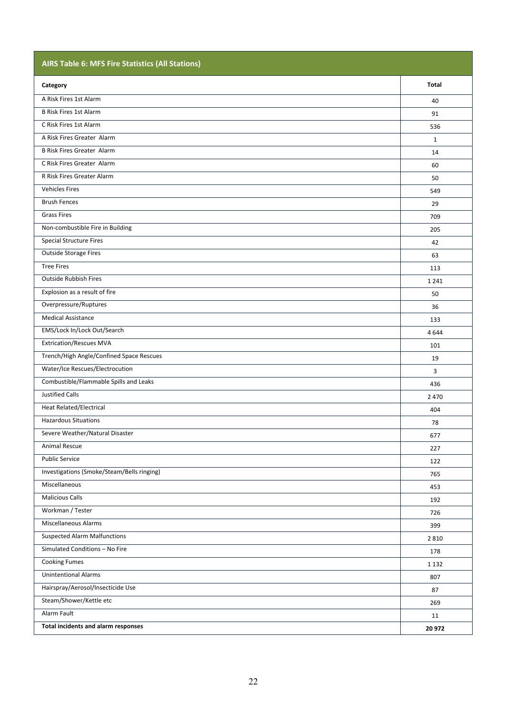| <b>AIRS Table 6: MFS Fire Statistics (All Stations)</b> |              |
|---------------------------------------------------------|--------------|
| Category                                                | Total        |
| A Risk Fires 1st Alarm                                  | 40           |
| <b>B Risk Fires 1st Alarm</b>                           | 91           |
| C Risk Fires 1st Alarm                                  | 536          |
| A Risk Fires Greater Alarm                              | $\mathbf{1}$ |
| <b>B Risk Fires Greater Alarm</b>                       | 14           |
| C Risk Fires Greater Alarm                              | 60           |
| R Risk Fires Greater Alarm                              | 50           |
| <b>Vehicles Fires</b>                                   | 549          |
| <b>Brush Fences</b>                                     | 29           |
| <b>Grass Fires</b>                                      | 709          |
| Non-combustible Fire in Building                        | 205          |
| <b>Special Structure Fires</b>                          | 42           |
| <b>Outside Storage Fires</b>                            | 63           |
| <b>Tree Fires</b>                                       | 113          |
| <b>Outside Rubbish Fires</b>                            | 1 2 4 1      |
| Explosion as a result of fire                           | 50           |
| Overpressure/Ruptures                                   | 36           |
| <b>Medical Assistance</b>                               | 133          |
| EMS/Lock In/Lock Out/Search                             | 4644         |
| <b>Extrication/Rescues MVA</b>                          | 101          |
| Trench/High Angle/Confined Space Rescues                | 19           |
| Water/Ice Rescues/Electrocution                         | 3            |
| Combustible/Flammable Spills and Leaks                  | 436          |
| <b>Justified Calls</b>                                  | 2 4 7 0      |
| Heat Related/Electrical                                 | 404          |
| <b>Hazardous Situations</b>                             | 78           |
| Severe Weather/Natural Disaster                         | 677          |
| Animal Rescue                                           | 227          |
| <b>Public Service</b>                                   | 122          |
| Investigations (Smoke/Steam/Bells ringing)              | 765          |
| Miscellaneous                                           | 453          |
| <b>Malicious Calls</b>                                  | 192          |
| Workman / Tester                                        | 726          |
| Miscellaneous Alarms                                    | 399          |
| <b>Suspected Alarm Malfunctions</b>                     | 2810         |
| Simulated Conditions - No Fire                          | 178          |
| <b>Cooking Fumes</b>                                    | 1 1 3 2      |
| <b>Unintentional Alarms</b>                             | 807          |
| Hairspray/Aerosol/Insecticide Use                       | 87           |
| Steam/Shower/Kettle etc                                 | 269          |
| Alarm Fault                                             | 11           |
| Total incidents and alarm responses                     | 20 972       |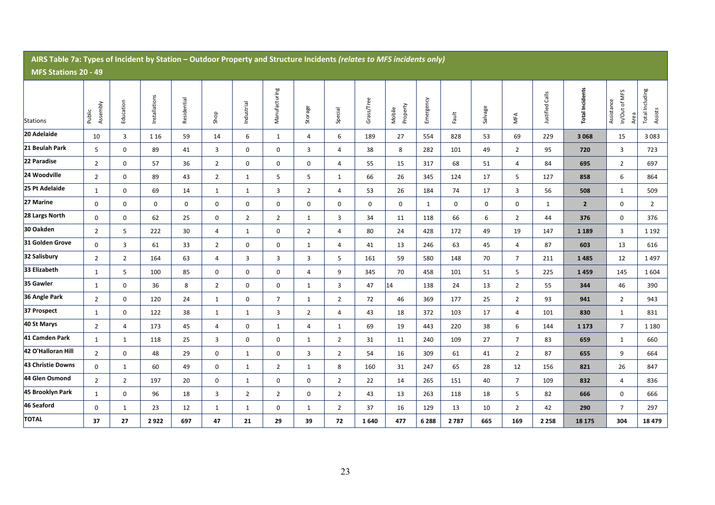| AIRS Table 7a: Types of Incident by Station - Outdoor Property and Structure Incidents (relates to MFS incidents only) |                    |                |               |             |                     |                |                |                |                |            |                    |              |       |         |                |                 |                        |                                     |                            |
|------------------------------------------------------------------------------------------------------------------------|--------------------|----------------|---------------|-------------|---------------------|----------------|----------------|----------------|----------------|------------|--------------------|--------------|-------|---------|----------------|-----------------|------------------------|-------------------------------------|----------------------------|
| <b>MFS Stations 20 - 49</b>                                                                                            |                    |                |               |             |                     |                |                |                |                |            |                    |              |       |         |                |                 |                        |                                     |                            |
| <b>Stations</b>                                                                                                        | Assembly<br>Public | Education      | Installations | Residential | Shop                | Industrial     | Manufacturing  | Storage        | Special        | Grass/Tree | Property<br>Mobile | Emergency    | Fault | Salvage | MFA            | Justified Calls | <b>Total Incidents</b> | In/Out of MFS<br>Assistance<br>Area | Total Including<br>Assists |
| 20 Adelaide                                                                                                            | 10                 | 3              | 1 1 6         | 59          | 14                  | 6              | $\mathbf{1}$   | 4              | 6              | 189        | 27                 | 554          | 828   | 53      | 69             | 229             | 3 0 6 8                | 15                                  | 3 0 8 3                    |
| 21 Beulah Park                                                                                                         | 5                  | $\mathbf 0$    | 89            | 41          | 3                   | 0              | 0              | 3              | $\overline{a}$ | 38         | 8                  | 282          | 101   | 49      | $\overline{2}$ | 95              | 720                    | $\overline{3}$                      | 723                        |
| 22 Paradise                                                                                                            | $\overline{2}$     | $\mathbf 0$    | 57            | 36          | $\overline{2}$      | 0              | 0              | $\mathsf{O}$   | $\overline{4}$ | 55         | 15                 | 317          | 68    | 51      | $\overline{4}$ | 84              | 695                    | $\overline{2}$                      | 697                        |
| 24 Woodville                                                                                                           | $\overline{2}$     | $\mathbf 0$    | 89            | 43          | $\overline{2}$      | $\mathbf{1}$   | 5              | 5              | $\mathbf{1}$   | 66         | 26                 | 345          | 124   | 17      | 5              | 127             | 858                    | 6                                   | 864                        |
| 25 Pt Adelaide                                                                                                         | $\mathbf{1}$       | $\mathbf 0$    | 69            | 14          | $\mathbf{1}$        | $\mathbf{1}$   | 3              | $\overline{2}$ | $\overline{4}$ | 53         | 26                 | 184          | 74    | 17      | 3              | 56              | 508                    | $\mathbf{1}$                        | 509                        |
| 27 Marine                                                                                                              | $\mathbf 0$        | $\mathbf 0$    | 0             | 0           | $\mathsf 0$         | 0              | 0              | 0              | 0              | 0          | 0                  | $\mathbf{1}$ | 0     | 0       | 0              | $\mathbf{1}$    | $\overline{2}$         | $\mathsf 0$                         | $\overline{2}$             |
| 28 Largs North                                                                                                         | $\mathsf 0$        | $\mathbf 0$    | 62            | 25          | $\mathsf{O}\xspace$ | $\overline{2}$ | $\overline{2}$ | $\mathbf{1}$   | 3              | 34         | 11                 | 118          | 66    | 6       | $\overline{2}$ | 44              | 376                    | $\mathbf 0$                         | 376                        |
| 30 Oakden                                                                                                              | $\overline{2}$     | 5              | 222           | 30          | $\overline{a}$      | $\mathbf{1}$   | 0              | $\overline{2}$ | $\overline{a}$ | 80         | 24                 | 428          | 172   | 49      | 19             | 147             | 1 1 8 9                | $\overline{3}$                      | 1 1 9 2                    |
| 31 Golden Grove                                                                                                        | $\mathsf 0$        | $\overline{3}$ | 61            | 33          | $\overline{2}$      | $\mathsf{O}$   | $\mathbf 0$    | $\mathbf{1}$   | $\overline{4}$ | 41         | 13                 | 246          | 63    | 45      | $\overline{4}$ | 87              | 603                    | 13                                  | 616                        |
| 32 Salisbury                                                                                                           | $\overline{2}$     | $\overline{2}$ | 164           | 63          | $\overline{4}$      | 3              | 3              | 3              | 5              | 161        | 59                 | 580          | 148   | 70      | $\overline{7}$ | 211             | 1485                   | 12                                  | 1497                       |
| 33 Elizabeth                                                                                                           | $\mathbf{1}$       | 5              | 100           | 85          | $\mathsf{O}\xspace$ | 0              | 0              | $\overline{4}$ | 9              | 345        | 70                 | 458          | 101   | 51      | 5              | 225             | 1459                   | 145                                 | 1604                       |
| 35 Gawler                                                                                                              | $\mathbf{1}$       | $\mathbf 0$    | 36            | 8           | $\overline{2}$      | 0              | 0              | $\mathbf{1}$   | $\overline{3}$ | 47         | 14                 | 138          | 24    | 13      | $\overline{2}$ | 55              | 344                    | 46                                  | 390                        |
| 36 Angle Park                                                                                                          | $\overline{2}$     | $\mathbf 0$    | 120           | 24          | $\mathbf{1}$        | 0              | $\overline{7}$ | $\mathbf{1}$   | $\overline{2}$ | 72         | 46                 | 369          | 177   | 25      | $\overline{2}$ | 93              | 941                    | $\overline{2}$                      | 943                        |
| 37 Prospect                                                                                                            | $\mathbf{1}$       | $\mathbf 0$    | 122           | 38          | $\mathbf{1}$        | $\mathbf{1}$   | 3              | $\overline{2}$ | $\overline{4}$ | 43         | 18                 | 372          | 103   | 17      | 4              | 101             | 830                    | $\mathbf{1}$                        | 831                        |
| 40 St Marys                                                                                                            | $\overline{2}$     | $\overline{4}$ | 173           | 45          | $\overline{4}$      | $\mathsf{O}$   | $\mathbf{1}$   | $\overline{4}$ | $\mathbf{1}$   | 69         | 19                 | 443          | 220   | 38      | 6              | 144             | 1 1 7 3                | $\overline{7}$                      | 1 1 8 0                    |
| 41 Camden Park                                                                                                         | $\mathbf{1}$       | $\mathbf{1}$   | 118           | 25          | $\overline{3}$      | 0              | 0              | $\mathbf{1}$   | $\overline{2}$ | 31         | 11                 | 240          | 109   | 27      | $\overline{7}$ | 83              | 659                    | $\mathbf{1}$                        | 660                        |
| 42 O'Halloran Hill                                                                                                     | $\overline{2}$     | $\mathbf 0$    | 48            | 29          | $\mathsf{O}\xspace$ | $\mathbf{1}$   | 0              | 3              | $\overline{2}$ | 54         | 16                 | 309          | 61    | 41      | $\overline{2}$ | 87              | 655                    | 9                                   | 664                        |
| 43 Christie Downs                                                                                                      | $\mathsf 0$        | $\mathbf{1}$   | 60            | 49          | $\mathsf{O}\xspace$ | $\mathbf{1}$   | $\overline{2}$ | $\mathbf{1}$   | 8              | 160        | 31                 | 247          | 65    | 28      | 12             | 156             | 821                    | 26                                  | 847                        |
| 44 Glen Osmond                                                                                                         | $\overline{2}$     | $\overline{2}$ | 197           | 20          | $\mathsf 0$         | $\mathbf{1}$   | $\mathbf 0$    | $\mathbf 0$    | $\overline{2}$ | 22         | 14                 | 265          | 151   | 40      | $\overline{7}$ | 109             | 832                    | $\overline{4}$                      | 836                        |
| 45 Brooklyn Park                                                                                                       | $\mathbf{1}$       | $\mathbf 0$    | 96            | 18          | $\overline{3}$      | $\overline{2}$ | $\overline{2}$ | $\pmb{0}$      | $\overline{2}$ | 43         | 13                 | 263          | 118   | 18      | 5              | 82              | 666                    | $\mathbf 0$                         | 666                        |
| 46 Seaford                                                                                                             | $\mathsf 0$        | 1              | 23            | 12          | $\mathbf{1}$        | $\mathbf{1}$   | 0              | $\mathbf{1}$   | $\overline{2}$ | 37         | 16                 | 129          | 13    | 10      | $\overline{2}$ | 42              | 290                    | $\overline{7}$                      | 297                        |
| <b>TOTAL</b>                                                                                                           | 37                 | 27             | 2922          | 697         | 47                  | 21             | 29             | 39             | 72             | 1640       | 477                | 6288         | 2787  | 665     | 169            | 2 2 5 8         | 18 175                 | 304                                 | 18 4 7 9                   |